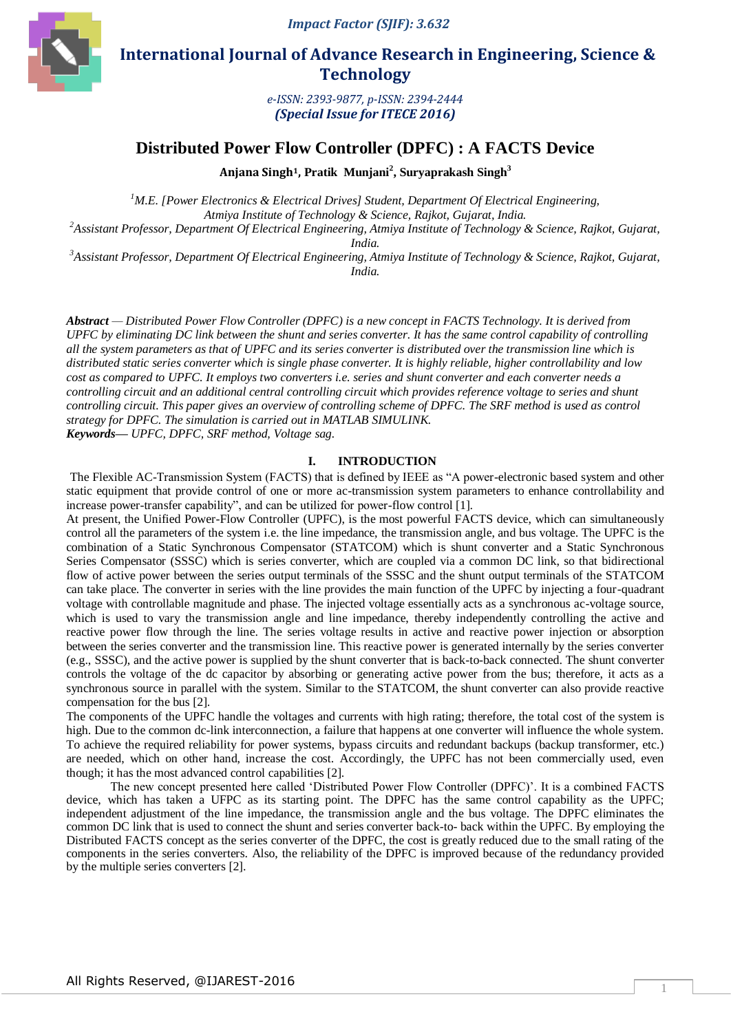

 **International Journal of Advance Research in Engineering, Science & Technology** 

> *e-ISSN: 2393-9877, p-ISSN: 2394-2444 (Special Issue for ITECE 2016)*

# **Distributed Power Flow Controller (DPFC) : A FACTS Device**

**Anjana Singh1, Pratik Munjani<sup>2</sup> , Suryaprakash Singh<sup>3</sup>**

*<sup>1</sup>M.E. [Power Electronics & Electrical Drives] Student, Department Of Electrical Engineering, Atmiya Institute of Technology & Science, Rajkot, Gujarat, India.*

*<sup>2</sup>Assistant Professor, Department Of Electrical Engineering, Atmiya Institute of Technology & Science, Rajkot, Gujarat,* 

*India.*

*<sup>3</sup>Assistant Professor, Department Of Electrical Engineering, Atmiya Institute of Technology & Science, Rajkot, Gujarat, India.*

*Abstract — Distributed Power Flow Controller (DPFC) is a new concept in FACTS Technology. It is derived from UPFC by eliminating DC link between the shunt and series converter. It has the same control capability of controlling all the system parameters as that of UPFC and its series converter is distributed over the transmission line which is distributed static series converter which is single phase converter. It is highly reliable, higher controllability and low cost as compared to UPFC. It employs two converters i.e. series and shunt converter and each converter needs a controlling circuit and an additional central controlling circuit which provides reference voltage to series and shunt controlling circuit. This paper gives an overview of controlling scheme of DPFC. The SRF method is used as control strategy for DPFC. The simulation is carried out in MATLAB SIMULINK.*

*Keywords— UPFC, DPFC, SRF method, Voltage sag.*

### **I. INTRODUCTION**

The Flexible AC-Transmission System (FACTS) that is defined by IEEE as "A power-electronic based system and other static equipment that provide control of one or more ac-transmission system parameters to enhance controllability and increase power-transfer capability", and can be utilized for power-flow control [1].

At present, the Unified Power-Flow Controller (UPFC), is the most powerful FACTS device, which can simultaneously control all the parameters of the system i.e. the line impedance, the transmission angle, and bus voltage. The UPFC is the combination of a Static Synchronous Compensator (STATCOM) which is shunt converter and a Static Synchronous Series Compensator (SSSC) which is series converter, which are coupled via a common DC link, so that bidirectional flow of active power between the series output terminals of the SSSC and the shunt output terminals of the STATCOM can take place. The converter in series with the line provides the main function of the UPFC by injecting a four-quadrant voltage with controllable magnitude and phase. The injected voltage essentially acts as a synchronous ac-voltage source, which is used to vary the transmission angle and line impedance, thereby independently controlling the active and reactive power flow through the line. The series voltage results in active and reactive power injection or absorption between the series converter and the transmission line. This reactive power is generated internally by the series converter (e.g., SSSC), and the active power is supplied by the shunt converter that is back-to-back connected. The shunt converter controls the voltage of the dc capacitor by absorbing or generating active power from the bus; therefore, it acts as a synchronous source in parallel with the system. Similar to the STATCOM, the shunt converter can also provide reactive compensation for the bus [2].

The components of the UPFC handle the voltages and currents with high rating; therefore, the total cost of the system is high. Due to the common dc-link interconnection, a failure that happens at one converter will influence the whole system. To achieve the required reliability for power systems, bypass circuits and redundant backups (backup transformer, etc.) are needed, which on other hand, increase the cost. Accordingly, the UPFC has not been commercially used, even though; it has the most advanced control capabilities [2].

The new concept presented here called 'Distributed Power Flow Controller (DPFC)'. It is a combined FACTS device, which has taken a UFPC as its starting point. The DPFC has the same control capability as the UPFC; independent adjustment of the line impedance, the transmission angle and the bus voltage. The DPFC eliminates the common DC link that is used to connect the shunt and series converter back-to- back within the UPFC. By employing the Distributed FACTS concept as the series converter of the DPFC, the cost is greatly reduced due to the small rating of the components in the series converters. Also, the reliability of the DPFC is improved because of the redundancy provided by the multiple series converters [2].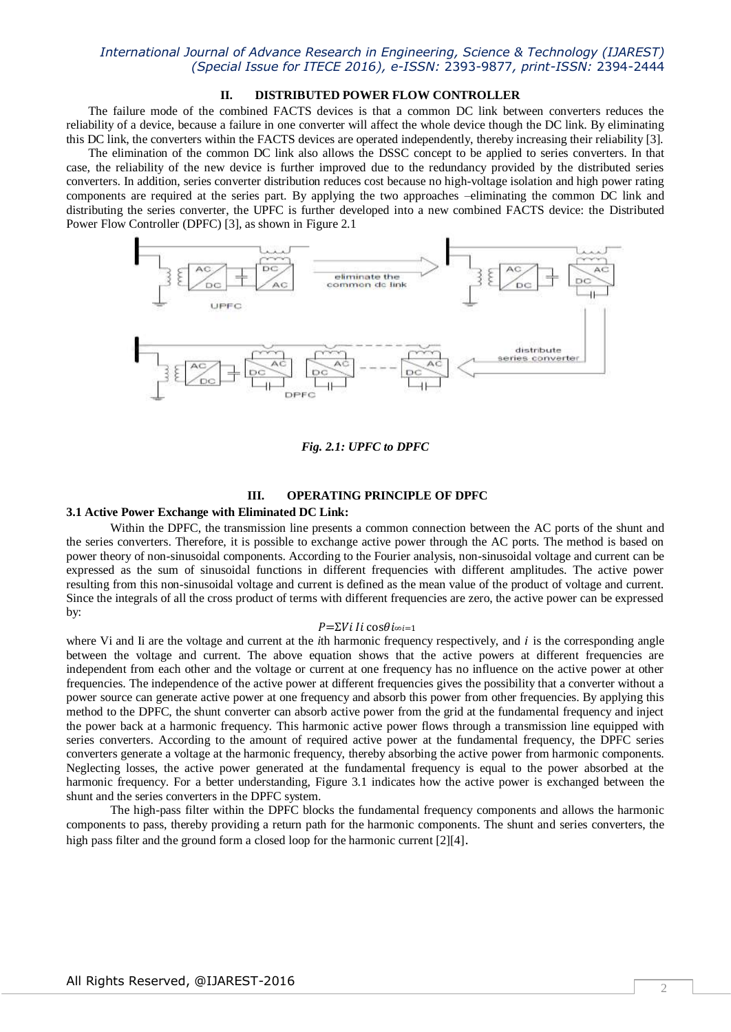# **II. DISTRIBUTED POWER FLOW CONTROLLER**

The failure mode of the combined FACTS devices is that a common DC link between converters reduces the reliability of a device, because a failure in one converter will affect the whole device though the DC link. By eliminating this DC link, the converters within the FACTS devices are operated independently, thereby increasing their reliability [3].

The elimination of the common DC link also allows the DSSC concept to be applied to series converters. In that case, the reliability of the new device is further improved due to the redundancy provided by the distributed series converters. In addition, series converter distribution reduces cost because no high-voltage isolation and high power rating components are required at the series part. By applying the two approaches –eliminating the common DC link and distributing the series converter, the UPFC is further developed into a new combined FACTS device: the Distributed Power Flow Controller (DPFC) [3], as shown in Figure 2.1



*Fig. 2.1: UPFC to DPFC*

# **III. OPERATING PRINCIPLE OF DPFC**

#### **3.1 Active Power Exchange with Eliminated DC Link:**

Within the DPFC, the transmission line presents a common connection between the AC ports of the shunt and the series converters. Therefore, it is possible to exchange active power through the AC ports. The method is based on power theory of non-sinusoidal components. According to the Fourier analysis, non-sinusoidal voltage and current can be expressed as the sum of sinusoidal functions in different frequencies with different amplitudes. The active power resulting from this non-sinusoidal voltage and current is defined as the mean value of the product of voltage and current. Since the integrals of all the cross product of terms with different frequencies are zero, the active power can be expressed by:

# $P=\Sigma Vi$  *l* i cos $\theta i \infty i=1$

where Vi and Ii are the voltage and current at the *i*th harmonic frequency respectively, and *i* is the corresponding angle between the voltage and current. The above equation shows that the active powers at different frequencies are independent from each other and the voltage or current at one frequency has no influence on the active power at other frequencies. The independence of the active power at different frequencies gives the possibility that a converter without a power source can generate active power at one frequency and absorb this power from other frequencies. By applying this method to the DPFC, the shunt converter can absorb active power from the grid at the fundamental frequency and inject the power back at a harmonic frequency. This harmonic active power flows through a transmission line equipped with series converters. According to the amount of required active power at the fundamental frequency, the DPFC series converters generate a voltage at the harmonic frequency, thereby absorbing the active power from harmonic components. Neglecting losses, the active power generated at the fundamental frequency is equal to the power absorbed at the harmonic frequency. For a better understanding, Figure 3.1 indicates how the active power is exchanged between the shunt and the series converters in the DPFC system.

The high-pass filter within the DPFC blocks the fundamental frequency components and allows the harmonic components to pass, thereby providing a return path for the harmonic components. The shunt and series converters, the high pass filter and the ground form a closed loop for the harmonic current [2][4].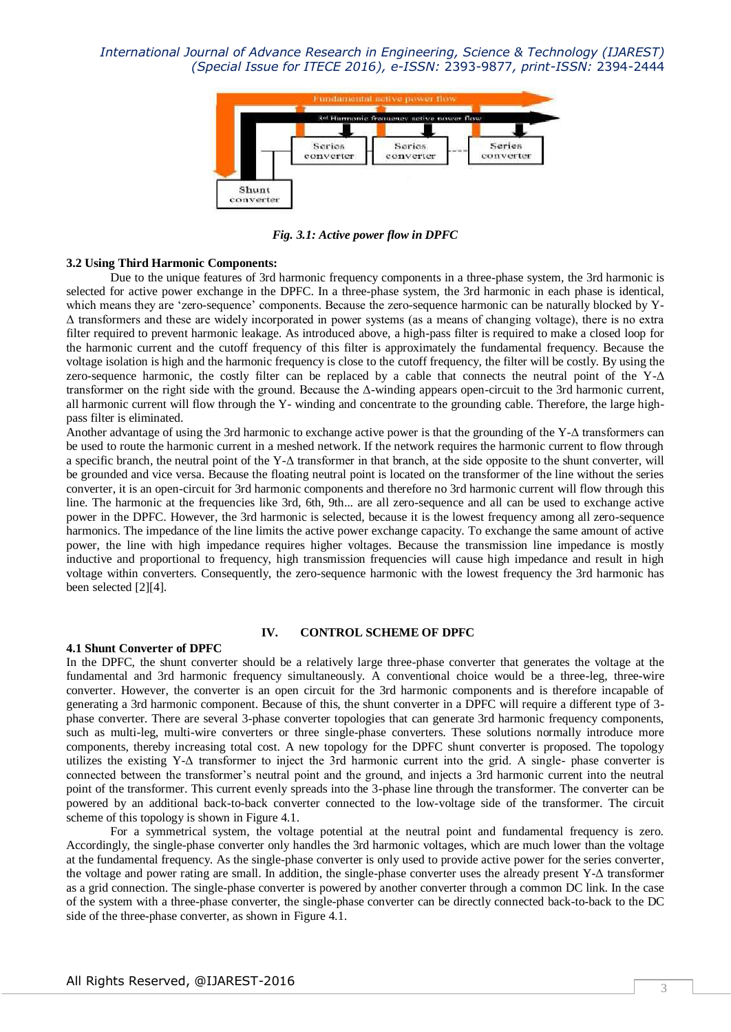

*Fig. 3.1: Active power flow in DPFC*

### **3.2 Using Third Harmonic Components:**

Due to the unique features of 3rd harmonic frequency components in a three-phase system, the 3rd harmonic is selected for active power exchange in the DPFC. In a three-phase system, the 3rd harmonic in each phase is identical, which means they are 'zero-sequence' components. Because the zero-sequence harmonic can be naturally blocked by Y-Δ transformers and these are widely incorporated in power systems (as a means of changing voltage), there is no extra filter required to prevent harmonic leakage. As introduced above, a high-pass filter is required to make a closed loop for the harmonic current and the cutoff frequency of this filter is approximately the fundamental frequency. Because the voltage isolation is high and the harmonic frequency is close to the cutoff frequency, the filter will be costly. By using the zero-sequence harmonic, the costly filter can be replaced by a cable that connects the neutral point of the Y-Δ transformer on the right side with the ground. Because the Δ-winding appears open-circuit to the 3rd harmonic current, all harmonic current will flow through the Y- winding and concentrate to the grounding cable. Therefore, the large highpass filter is eliminated.

Another advantage of using the 3rd harmonic to exchange active power is that the grounding of the Y-Δ transformers can be used to route the harmonic current in a meshed network. If the network requires the harmonic current to flow through a specific branch, the neutral point of the Y-Δ transformer in that branch, at the side opposite to the shunt converter, will be grounded and vice versa. Because the floating neutral point is located on the transformer of the line without the series converter, it is an open-circuit for 3rd harmonic components and therefore no 3rd harmonic current will flow through this line. The harmonic at the frequencies like 3rd, 6th, 9th... are all zero-sequence and all can be used to exchange active power in the DPFC. However, the 3rd harmonic is selected, because it is the lowest frequency among all zero-sequence harmonics. The impedance of the line limits the active power exchange capacity. To exchange the same amount of active power, the line with high impedance requires higher voltages. Because the transmission line impedance is mostly inductive and proportional to frequency, high transmission frequencies will cause high impedance and result in high voltage within converters. Consequently, the zero-sequence harmonic with the lowest frequency the 3rd harmonic has been selected [2][4].

#### **IV. CONTROL SCHEME OF DPFC**

#### **4.1 Shunt Converter of DPFC**

In the DPFC, the shunt converter should be a relatively large three-phase converter that generates the voltage at the fundamental and 3rd harmonic frequency simultaneously. A conventional choice would be a three-leg, three-wire converter. However, the converter is an open circuit for the 3rd harmonic components and is therefore incapable of generating a 3rd harmonic component. Because of this, the shunt converter in a DPFC will require a different type of 3 phase converter. There are several 3-phase converter topologies that can generate 3rd harmonic frequency components, such as multi-leg, multi-wire converters or three single-phase converters. These solutions normally introduce more components, thereby increasing total cost. A new topology for the DPFC shunt converter is proposed. The topology utilizes the existing Y-Δ transformer to inject the 3rd harmonic current into the grid. A single- phase converter is connected between the transformer's neutral point and the ground, and injects a 3rd harmonic current into the neutral point of the transformer. This current evenly spreads into the 3-phase line through the transformer. The converter can be powered by an additional back-to-back converter connected to the low-voltage side of the transformer. The circuit scheme of this topology is shown in Figure 4.1.

For a symmetrical system, the voltage potential at the neutral point and fundamental frequency is zero. Accordingly, the single-phase converter only handles the 3rd harmonic voltages, which are much lower than the voltage at the fundamental frequency. As the single-phase converter is only used to provide active power for the series converter, the voltage and power rating are small. In addition, the single-phase converter uses the already present Y-Δ transformer as a grid connection. The single-phase converter is powered by another converter through a common DC link. In the case of the system with a three-phase converter, the single-phase converter can be directly connected back-to-back to the DC side of the three-phase converter, as shown in Figure 4.1.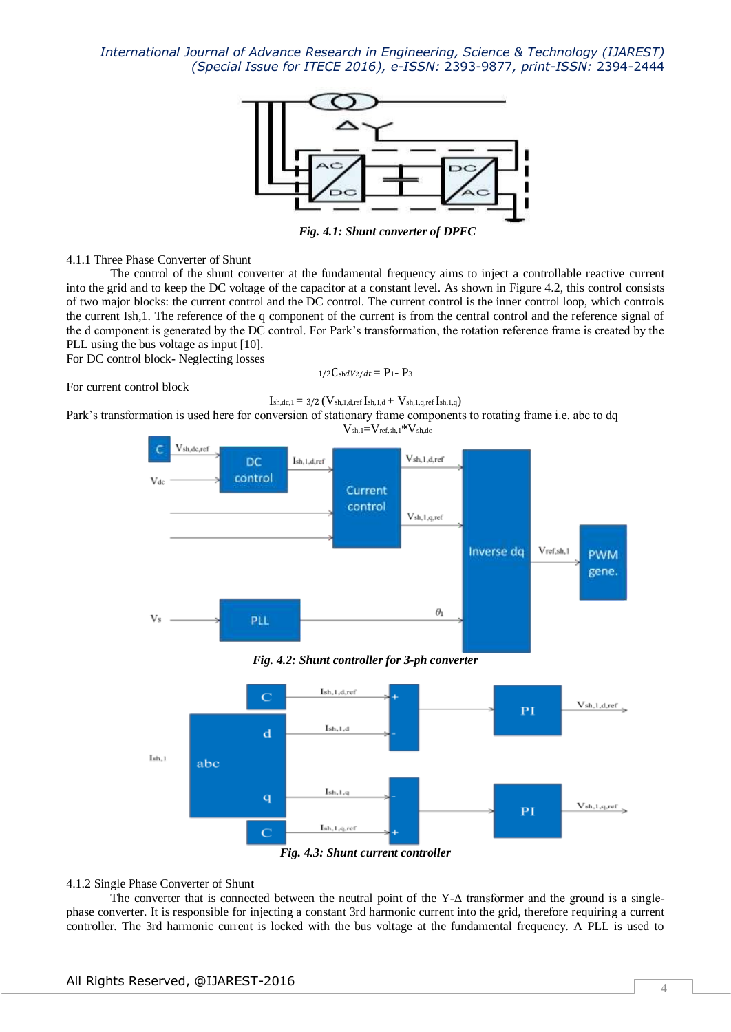

*Fig. 4.1: Shunt converter of DPFC*

4.1.1 Three Phase Converter of Shunt

The control of the shunt converter at the fundamental frequency aims to inject a controllable reactive current into the grid and to keep the DC voltage of the capacitor at a constant level. As shown in Figure 4.2, this control consists of two major blocks: the current control and the DC control. The current control is the inner control loop, which controls the current Ish,1. The reference of the q component of the current is from the central control and the reference signal of the d component is generated by the DC control. For Park's transformation, the rotation reference frame is created by the PLL using the bus voltage as input [10].

For DC control block- Neglecting losses

 $1/2C$ shdV2/dt = P<sub>1</sub>- P<sub>3</sub>

For current control block

 $I_{sh,dc,1} = 3/2 \left( V_{sh,1,d,ref} I_{sh,1,d} + V_{sh,1,q,ref} I_{sh,1,q} \right)$ 

Park's transformation is used here for conversion of stationary frame components to rotating frame i.e. abc to dq

 $V_{sh,1}=V_{ref,sh,1}*V_{sh,dc}$ 

![](_page_3_Figure_11.jpeg)

*Fig. 4.2: Shunt controller for 3-ph converter*

![](_page_3_Figure_13.jpeg)

4.1.2 Single Phase Converter of Shunt

The converter that is connected between the neutral point of the Y-Δ transformer and the ground is a singlephase converter. It is responsible for injecting a constant 3rd harmonic current into the grid, therefore requiring a current controller. The 3rd harmonic current is locked with the bus voltage at the fundamental frequency. A PLL is used to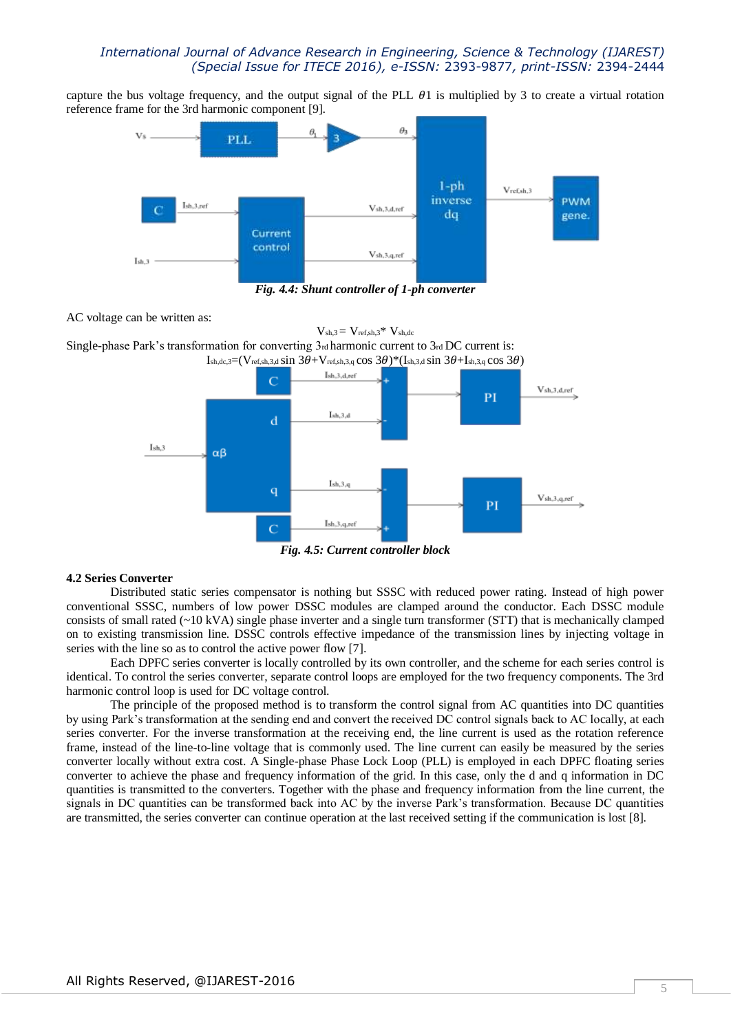capture the bus voltage frequency, and the output signal of the PLL  $\theta$ 1 is multiplied by 3 to create a virtual rotation reference frame for the 3rd harmonic component [9].

![](_page_4_Figure_2.jpeg)

*Fig. 4.4: Shunt controller of 1-ph converter*

AC voltage can be written as:

 $V_{sh,3} = V_{ref,sh,3} * V_{sh,dc}$ Single-phase Park's transformation for converting  $3<sub>rd</sub>$  harmonic current to  $3<sub>rd</sub>$  DC current is: Ish,dc,3=(Vref,sh,3,d Sin  $3\theta$ +Vref,sh,3,q cos  $3\theta$ )\*(Ish,3,d Sin  $3\theta$ +Ish,3,q cos  $3\theta$ )

![](_page_4_Figure_6.jpeg)

*Fig. 4.5: Current controller block*

#### **4.2 Series Converter**

Distributed static series compensator is nothing but SSSC with reduced power rating. Instead of high power conventional SSSC, numbers of low power DSSC modules are clamped around the conductor. Each DSSC module consists of small rated  $(-10 \text{ kVA})$  single phase inverter and a single turn transformer (STT) that is mechanically clamped on to existing transmission line. DSSC controls effective impedance of the transmission lines by injecting voltage in series with the line so as to control the active power flow [7].

Each DPFC series converter is locally controlled by its own controller, and the scheme for each series control is identical. To control the series converter, separate control loops are employed for the two frequency components. The 3rd harmonic control loop is used for DC voltage control.

The principle of the proposed method is to transform the control signal from AC quantities into DC quantities by using Park's transformation at the sending end and convert the received DC control signals back to AC locally, at each series converter. For the inverse transformation at the receiving end, the line current is used as the rotation reference frame, instead of the line-to-line voltage that is commonly used. The line current can easily be measured by the series converter locally without extra cost. A Single-phase Phase Lock Loop (PLL) is employed in each DPFC floating series converter to achieve the phase and frequency information of the grid. In this case, only the d and q information in DC quantities is transmitted to the converters. Together with the phase and frequency information from the line current, the signals in DC quantities can be transformed back into AC by the inverse Park's transformation. Because DC quantities are transmitted, the series converter can continue operation at the last received setting if the communication is lost [8].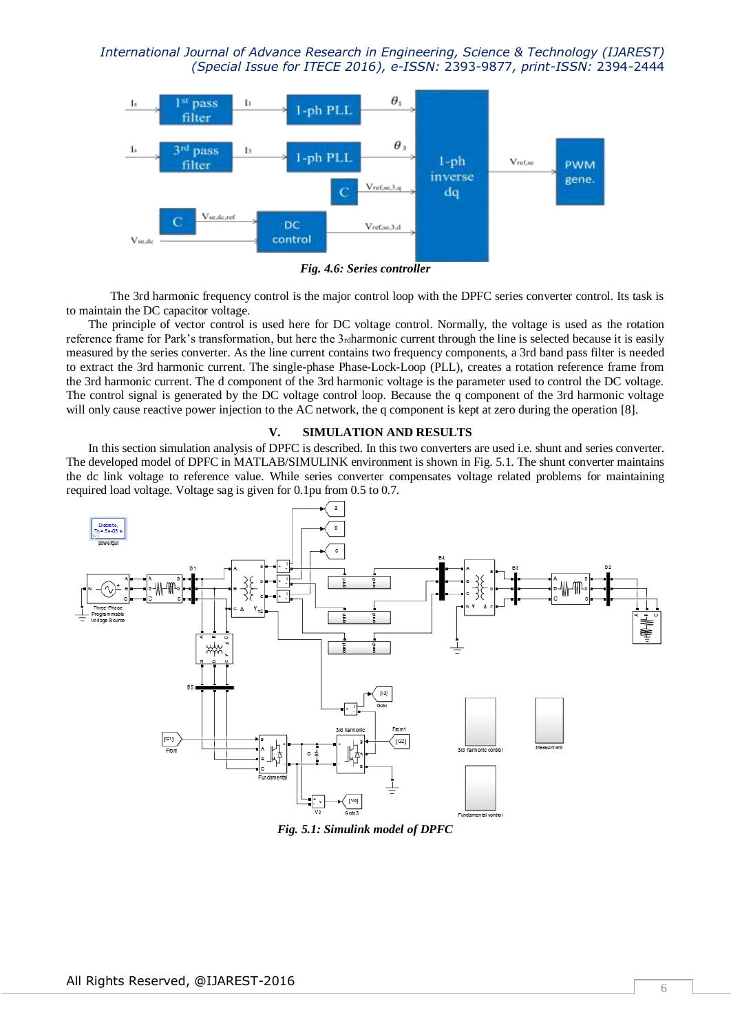![](_page_5_Figure_1.jpeg)

*Fig. 4.6: Series controller*

The 3rd harmonic frequency control is the major control loop with the DPFC series converter control. Its task is to maintain the DC capacitor voltage.

The principle of vector control is used here for DC voltage control. Normally, the voltage is used as the rotation reference frame for Park's transformation, but here the 3rdharmonic current through the line is selected because it is easily measured by the series converter. As the line current contains two frequency components, a 3rd band pass filter is needed to extract the 3rd harmonic current. The single-phase Phase-Lock-Loop (PLL), creates a rotation reference frame from the 3rd harmonic current. The d component of the 3rd harmonic voltage is the parameter used to control the DC voltage. The control signal is generated by the DC voltage control loop. Because the q component of the 3rd harmonic voltage will only cause reactive power injection to the AC network, the q component is kept at zero during the operation [8].

### **V. SIMULATION AND RESULTS**

In this section simulation analysis of DPFC is described. In this two converters are used i.e. shunt and series converter. The developed model of DPFC in MATLAB/SIMULINK environment is shown in Fig. 5.1. The shunt converter maintains the dc link voltage to reference value. While series converter compensates voltage related problems for maintaining required load voltage. Voltage sag is given for 0.1pu from 0.5 to 0.7.

![](_page_5_Figure_7.jpeg)

*Fig. 5.1: Simulink model of DPFC*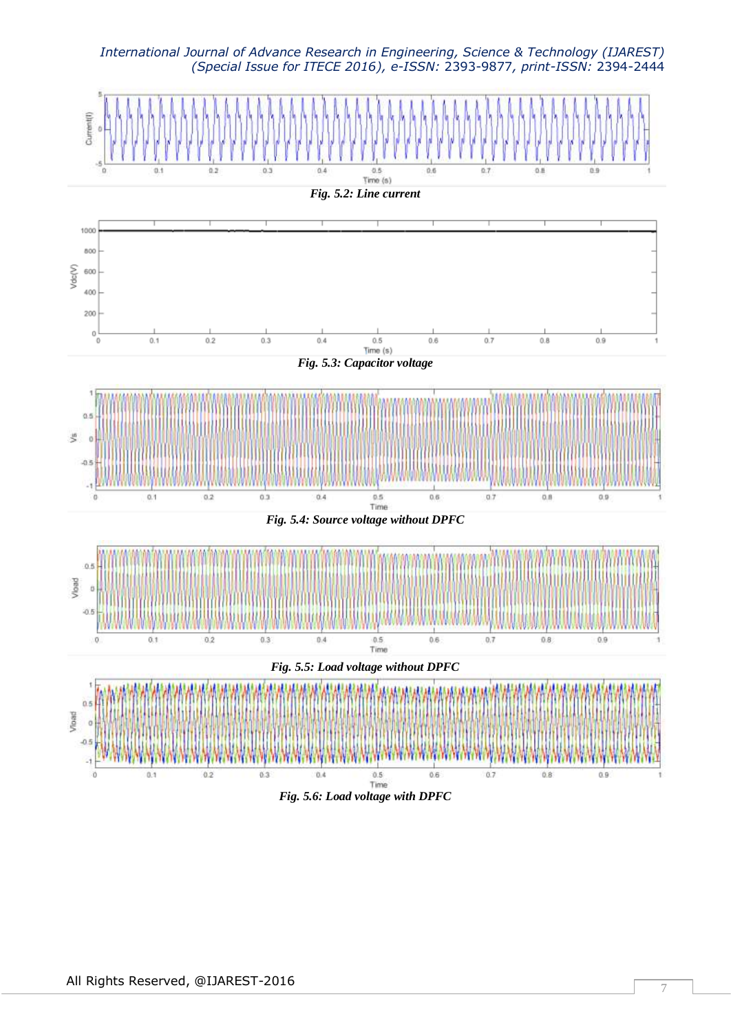![](_page_6_Figure_1.jpeg)

![](_page_6_Figure_2.jpeg)